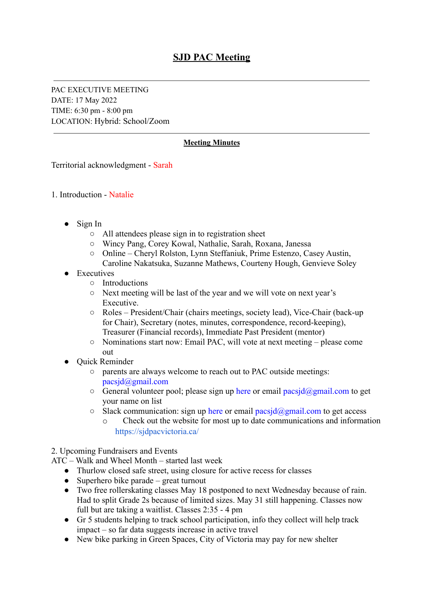PAC EXECUTIVE MEETING DATE: 17 May 2022 TIME: 6:30 pm - 8:00 pm LOCATION: Hybrid: School/Zoom

## **Meeting Minutes**

Territorial acknowledgment - Sarah

- 1. Introduction Natalie
	- Sign In
		- All attendees please sign in to registration sheet
		- Wincy Pang, Corey Kowal, Nathalie, Sarah, Roxana, Janessa
		- Online Cheryl Rolston, Lynn Steffaniuk, Prime Estenzo, Casey Austin, Caroline Nakatsuka, Suzanne Mathews, Courteny Hough, Genvieve Soley
	- **Executives** 
		- Introductions
		- Next meeting will be last of the year and we will vote on next year's Executive.
		- Roles President/Chair (chairs meetings, society lead), Vice-Chair (back-up for Chair), Secretary (notes, minutes, correspondence, record-keeping), Treasurer (Financial records), Immediate Past President (mentor)
		- Nominations start now: Email PAC, will vote at next meeting please come out
	- **Ouick Reminder** 
		- parents are always welcome to reach out to PAC outside meetings: pacsjd@gmail.com
		- $\circ$  General volunteer pool; please sign up [here](https://docs.google.com/spreadsheets/d/1Hc6PAM0hqv5qyLnEoNFY_KcHYWwZTXIpa68yswTEM_I/edit#gid=0) or email pacsjd@gmail.com to get your name on list
		- $\circ$  Slack communication: sign up [here](https://docs.google.com/spreadsheets/d/1Hc6PAM0hqv5qyLnEoNFY_KcHYWwZTXIpa68yswTEM_I/edit#gid=0) or email pacsjd@gmail.com to get access
			- o Check out the website for most up to date communications and informatio[n](https://sjdpacvictoria.ca/) <https://sjdpacvictoria.ca/>

2. Upcoming Fundraisers and Events

- ATC Walk and Wheel Month started last week
	- Thurlow closed safe street, using closure for active recess for classes
	- $\bullet$  Superhero bike parade great turnout
	- Two free rollerskating classes May 18 postponed to next Wednesday because of rain. Had to split Grade 2s because of limited sizes. May 31 still happening. Classes now full but are taking a waitlist. Classes 2:35 - 4 pm
	- Gr 5 students helping to track school participation, info they collect will help track impact – so far data suggests increase in active travel
	- New bike parking in Green Spaces, City of Victoria may pay for new shelter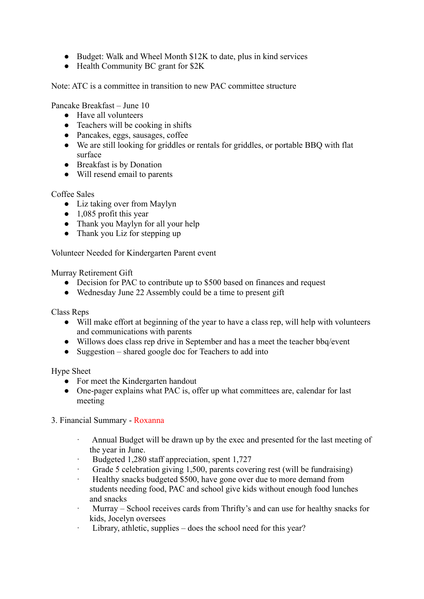- Budget: Walk and Wheel Month \$12K to date, plus in kind services
- Health Community BC grant for \$2K

Note: ATC is a committee in transition to new PAC committee structure

Pancake Breakfast – June 10

- Have all volunteers
- $\bullet$  Teachers will be cooking in shifts
- Pancakes, eggs, sausages, coffee
- We are still looking for griddles or rentals for griddles, or portable BBQ with flat surface
- Breakfast is by Donation
- Will resend email to parents

Coffee Sales

- Liz taking over from Maylyn
- $\bullet$  1,085 profit this year
- Thank you Maylyn for all your help
- Thank you Liz for stepping up

Volunteer Needed for Kindergarten Parent event

Murray Retirement Gift

- Decision for PAC to contribute up to \$500 based on finances and request
- Wednesday June 22 Assembly could be a time to present gift

Class Reps

- Will make effort at beginning of the year to have a class rep, will help with volunteers and communications with parents
- Willows does class rep drive in September and has a meet the teacher bbq/event
- Suggestion shared google doc for Teachers to add into

Hype Sheet

- For meet the Kindergarten handout
- One-pager explains what PAC is, offer up what committees are, calendar for last meeting

3. Financial Summary - Roxanna

- Annual Budget will be drawn up by the exec and presented for the last meeting of the year in June.
- · Budgeted 1,280 staff appreciation, spent 1,727
- Grade 5 celebration giving 1,500, parents covering rest (will be fundraising)
- Healthy snacks budgeted \$500, have gone over due to more demand from students needing food, PAC and school give kids without enough food lunches and snacks
- · Murray School receives cards from Thrifty's and can use for healthy snacks for kids, Jocelyn oversees
- Library, athletic, supplies does the school need for this year?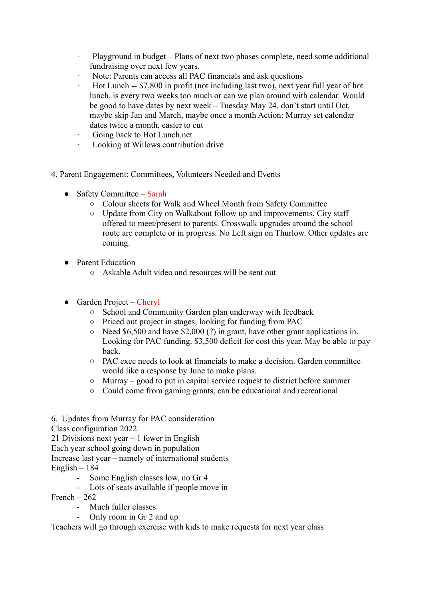- Playground in budget Plans of next two phases complete, need some additional fundraising over next few years.
- Note: Parents can access all PAC financials and ask questions
- · Hot Lunch -- \$7,800 in profit (not including last two), next year full year of hot lunch, is every two weeks too much or can we plan around with calendar. Would be good to have dates by next week – Tuesday May 24, don't start until Oct, maybe skip Jan and March, maybe once a month Action: Murray set calendar dates twice a month, easier to cut
- Going back to Hot Lunch.net
- · Looking at Willows contribution drive
- 4. Parent Engagement: Committees, Volunteers Needed and Events
	- $\bullet$  Safety Committee Sarah
		- Colour sheets for Walk and Wheel Month from Safety Committee
		- Update from City on Walkabout follow up and improvements. City staff offered to meet/present to parents. Crosswalk upgrades around the school route are complete or in progress. No Left sign on Thurlow. Other updates are coming.
	- Parent Education
		- Askable Adult video and resources will be sent out
	- $\bullet$  Garden Project Cheryl
		- School and Community Garden plan underway with feedback
		- Priced out project in stages, looking for funding from PAC
		- $\circ$  Need \$6,500 and have \$2,000 (?) in grant, have other grant applications in. Looking for PAC funding. \$3,500 deficit for cost this year. May be able to pay back.
		- PAC exec needs to look at financials to make a decision. Garden committee would like a response by June to make plans.
		- Murray good to put in capital service request to district before summer
		- Could come from gaming grants, can be educational and recreational
- 6. Updates from Murray for PAC consideration
- Class configuration 2022
- 21 Divisions next year 1 fewer in English

Each year school going down in population

Increase last year – namely of international students

- English 184
	- Some English classes low, no Gr 4
	- Lots of seats available if people move in
- French  $262$ 
	- Much fuller classes
	- Only room in Gr 2 and up

Teachers will go through exercise with kids to make requests for next year class